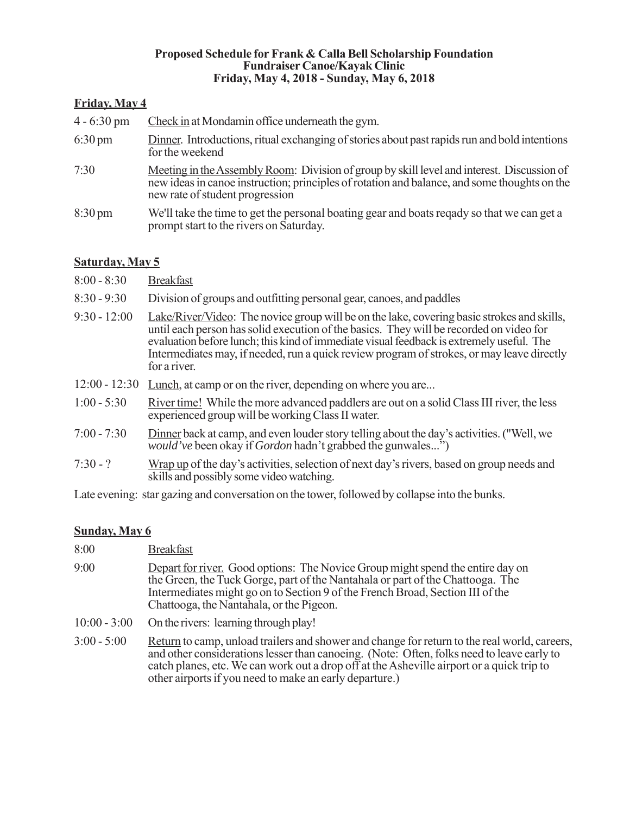#### **Proposed Schedule for Frank & Calla Bell Scholarship Foundation Fundraiser Canoe/Kayak Clinic Friday, May 4, 2018 - Sunday, May 6, 2018**

### **Friday, May 4**

| $4 - 6:30 \text{ pm}$ | Check in at Mondamin office underneath the gym.                                                                                                                                                                               |
|-----------------------|-------------------------------------------------------------------------------------------------------------------------------------------------------------------------------------------------------------------------------|
| $6:30 \text{ pm}$     | Dinner. Introductions, ritual exchanging of stories about past rapids run and bold intentions<br>for the weekend                                                                                                              |
| 7:30                  | Meeting in the Assembly Room: Division of group by skill level and interest. Discussion of<br>new ideas in canoe instruction; principles of rotation and balance, and some thoughts on the<br>new rate of student progression |
| $8:30 \text{ pm}$     | We'll take the time to get the personal boating gear and boats requided by so that we can get a<br>prompt start to the rivers on Saturday.                                                                                    |

### **Saturday, May 5**

- 8:00 8:30 Breakfast
- 8:30 9:30 Division of groups and outfitting personal gear, canoes, and paddles
- 9:30 12:00 Lake/River/Video: The novice group will be on the lake, covering basic strokes and skills, until each person has solid execution of the basics. They will be recorded on video for evaluation before lunch; this kind of immediate visual feedback is extremely useful. The Intermediates may, if needed, run a quick review program of strokes, or may leave directly for a river.
- 12:00 12:30 Lunch, at camp or on the river, depending on where you are...
- 1:00 5:30 River time! While the more advanced paddlers are out on a solid Class III river, the less experienced group will be working Class II water.
- 7:00 7:30 Dinner back at camp, and even louder story telling about the day's activities. ("Well, we *would've* been okay if *Gordon* hadn't grabbed the gunwales...")
- 7:30 ? Wrap up of the day's activities, selection of next day's rivers, based on group needs and skills and possibly some video watching.

Late evening: star gazing and conversation on the tower, followed by collapse into the bunks.

### **Sunday, May 6**

- 9:00 Depart for river. Good options: The Novice Group might spend the entire day on the Green, the Tuck Gorge, part of the Nantahala or part of the Chattooga. The Intermediates might go on to Section 9 of the French Broad, Section III of the Chattooga, the Nantahala, or the Pigeon.
- 10:00 3:00 On the rivers: learning through play!
- 3:00 5:00 Return to camp, unload trailers and shower and change for return to the real world, careers, and other considerations lesser than canoeing. (Note: Often, folks need to leave early to catch planes, etc. We can work out a drop off at the Asheville airport or a quick trip to other airports if you need to make an early departure.)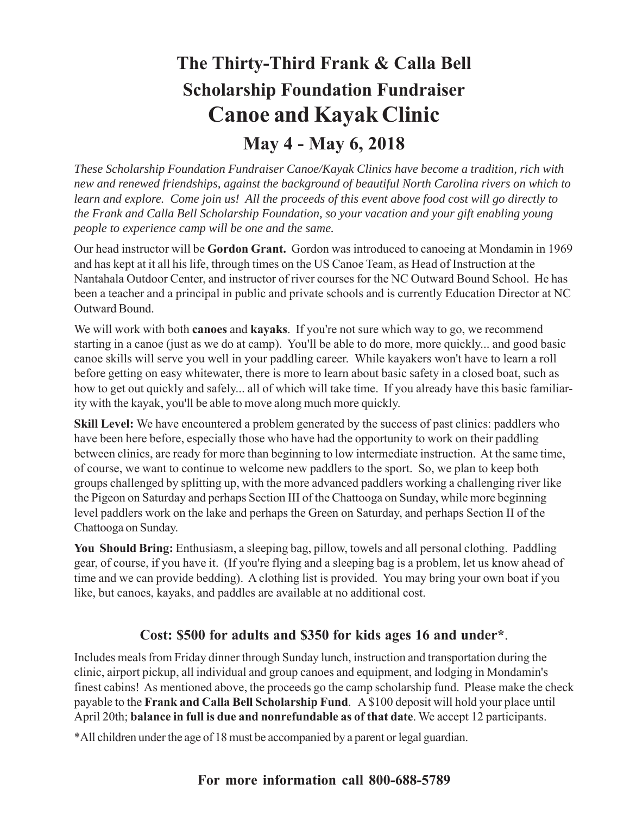# **The Thirty-Third Frank & Calla Bell Scholarship Foundation Fundraiser Canoe and Kayak Clinic**

## **May 4 - May 6, 2018**

*These Scholarship Foundation Fundraiser Canoe/Kayak Clinics have become a tradition, rich with new and renewed friendships, against the background of beautiful North Carolina rivers on which to learn and explore. Come join us! All the proceeds of this event above food cost will go directly to the Frank and Calla Bell Scholarship Foundation, so your vacation and your gift enabling young people to experience camp will be one and the same.*

Our head instructor will be **Gordon Grant.** Gordon was introduced to canoeing at Mondamin in 1969 and has kept at it all his life, through times on the US Canoe Team, as Head of Instruction at the Nantahala Outdoor Center, and instructor of river courses for the NC Outward Bound School. He has been a teacher and a principal in public and private schools and is currently Education Director at NC Outward Bound.

We will work with both **canoes** and **kayaks**. If you're not sure which way to go, we recommend starting in a canoe (just as we do at camp). You'll be able to do more, more quickly... and good basic canoe skills will serve you well in your paddling career. While kayakers won't have to learn a roll before getting on easy whitewater, there is more to learn about basic safety in a closed boat, such as how to get out quickly and safely... all of which will take time. If you already have this basic familiarity with the kayak, you'll be able to move along much more quickly.

**Skill Level:** We have encountered a problem generated by the success of past clinics: paddlers who have been here before, especially those who have had the opportunity to work on their paddling between clinics, are ready for more than beginning to low intermediate instruction. At the same time, of course, we want to continue to welcome new paddlers to the sport. So, we plan to keep both groups challenged by splitting up, with the more advanced paddlers working a challenging river like the Pigeon on Saturday and perhaps Section III of the Chattooga on Sunday, while more beginning level paddlers work on the lake and perhaps the Green on Saturday, and perhaps Section II of the Chattooga on Sunday.

**You Should Bring:** Enthusiasm, a sleeping bag, pillow, towels and all personal clothing. Paddling gear, of course, if you have it. (If you're flying and a sleeping bag is a problem, let us know ahead of time and we can provide bedding). A clothing list is provided. You may bring your own boat if you like, but canoes, kayaks, and paddles are available at no additional cost.

## **Cost: \$500 for adults and \$350 for kids ages 16 and under\***.

Includes meals from Friday dinner through Sunday lunch, instruction and transportation during the clinic, airport pickup, all individual and group canoes and equipment, and lodging in Mondamin's finest cabins! As mentioned above, the proceeds go the camp scholarship fund. Please make the check payable to the **Frank and Calla Bell Scholarship Fund**. A \$100 deposit will hold your place until April 20th; **balance in full is due and nonrefundable as of that date**. We accept 12 participants.

\*All children under the age of 18 must be accompanied by a parent or legal guardian.

## **For more information call 800-688-5789**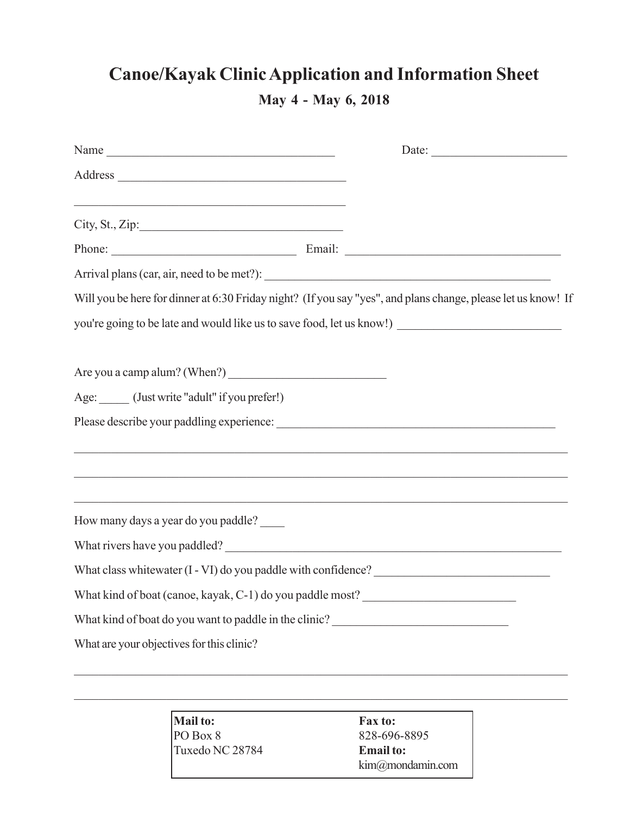## **Canoe/Kayak Clinic Application and Information Sheet**

**May 4 - May 6, 2018**

|                                                                                                                      |                                                                                                     | Date: |  |
|----------------------------------------------------------------------------------------------------------------------|-----------------------------------------------------------------------------------------------------|-------|--|
|                                                                                                                      |                                                                                                     |       |  |
| <u> 1989 - Johann John Stone, markin film yn y brenin y brenin y brenin y brenin y brenin y brenin y brenin y br</u> |                                                                                                     |       |  |
|                                                                                                                      |                                                                                                     |       |  |
|                                                                                                                      |                                                                                                     |       |  |
| Will you be here for dinner at 6:30 Friday night? (If you say "yes", and plans change, please let us know! If        |                                                                                                     |       |  |
|                                                                                                                      | you're going to be late and would like us to save food, let us know!) _____________________________ |       |  |
|                                                                                                                      |                                                                                                     |       |  |
|                                                                                                                      |                                                                                                     |       |  |
| Age: (Just write "adult" if you prefer!)                                                                             |                                                                                                     |       |  |
|                                                                                                                      |                                                                                                     |       |  |
|                                                                                                                      |                                                                                                     |       |  |
|                                                                                                                      |                                                                                                     |       |  |
|                                                                                                                      |                                                                                                     |       |  |
| How many days a year do you paddle?                                                                                  |                                                                                                     |       |  |
|                                                                                                                      |                                                                                                     |       |  |
|                                                                                                                      |                                                                                                     |       |  |
| What kind of boat (canoe, kayak, C-1) do you paddle most?                                                            |                                                                                                     |       |  |
|                                                                                                                      | What kind of boat do you want to paddle in the clinic?<br><u>Letting</u>                            |       |  |
| What are your objectives for this clinic?                                                                            |                                                                                                     |       |  |
|                                                                                                                      |                                                                                                     |       |  |
|                                                                                                                      | $M_0$ ilto. $\Gamma_{2V}$ to:                                                                       |       |  |

**Mail to: Fax to:** PO Box 8 828-696-8895 Tuxedo NC 28784 **Email to:**

kim@mondamin.com